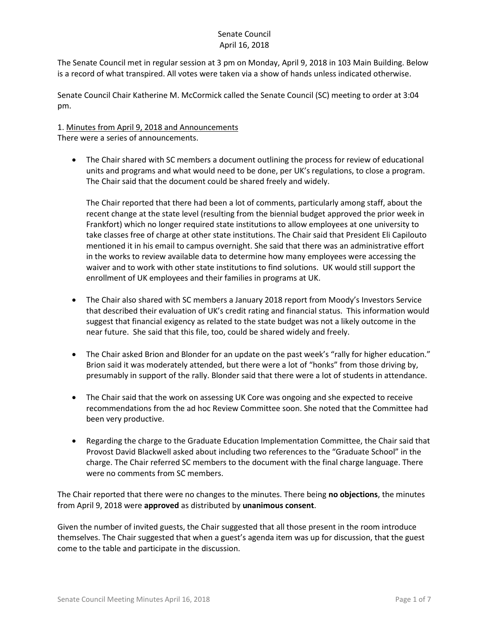The Senate Council met in regular session at 3 pm on Monday, April 9, 2018 in 103 Main Building. Below is a record of what transpired. All votes were taken via a show of hands unless indicated otherwise.

Senate Council Chair Katherine M. McCormick called the Senate Council (SC) meeting to order at 3:04 pm.

# 1. Minutes from April 9, 2018 and Announcements

There were a series of announcements.

 The Chair shared with SC members a document outlining the process for review of educational units and programs and what would need to be done, per UK's regulations, to close a program. The Chair said that the document could be shared freely and widely.

The Chair reported that there had been a lot of comments, particularly among staff, about the recent change at the state level (resulting from the biennial budget approved the prior week in Frankfort) which no longer required state institutions to allow employees at one university to take classes free of charge at other state institutions. The Chair said that President Eli Capilouto mentioned it in his email to campus overnight. She said that there was an administrative effort in the works to review available data to determine how many employees were accessing the waiver and to work with other state institutions to find solutions. UK would still support the enrollment of UK employees and their families in programs at UK.

- The Chair also shared with SC members a January 2018 report from Moody's Investors Service that described their evaluation of UK's credit rating and financial status. This information would suggest that financial exigency as related to the state budget was not a likely outcome in the near future. She said that this file, too, could be shared widely and freely.
- The Chair asked Brion and Blonder for an update on the past week's "rally for higher education." Brion said it was moderately attended, but there were a lot of "honks" from those driving by, presumably in support of the rally. Blonder said that there were a lot of students in attendance.
- The Chair said that the work on assessing UK Core was ongoing and she expected to receive recommendations from the ad hoc Review Committee soon. She noted that the Committee had been very productive.
- Regarding the charge to the Graduate Education Implementation Committee, the Chair said that Provost David Blackwell asked about including two references to the "Graduate School" in the charge. The Chair referred SC members to the document with the final charge language. There were no comments from SC members.

The Chair reported that there were no changes to the minutes. There being **no objections**, the minutes from April 9, 2018 were **approved** as distributed by **unanimous consent**.

Given the number of invited guests, the Chair suggested that all those present in the room introduce themselves. The Chair suggested that when a guest's agenda item was up for discussion, that the guest come to the table and participate in the discussion.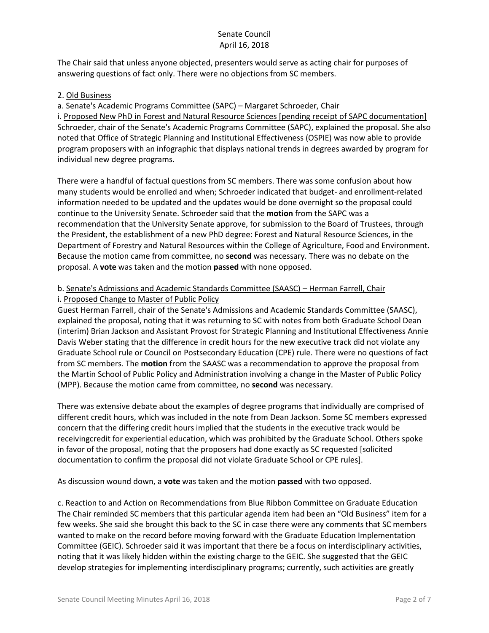The Chair said that unless anyone objected, presenters would serve as acting chair for purposes of answering questions of fact only. There were no objections from SC members.

## 2. Old Business

a. Senate's Academic Programs Committee (SAPC) – Margaret Schroeder, Chair

i. Proposed New PhD in Forest and Natural Resource Sciences [pending receipt of SAPC documentation] Schroeder, chair of the Senate's Academic Programs Committee (SAPC), explained the proposal. She also noted that Office of Strategic Planning and Institutional Effectiveness (OSPIE) was now able to provide program proposers with an infographic that displays national trends in degrees awarded by program for individual new degree programs.

There were a handful of factual questions from SC members. There was some confusion about how many students would be enrolled and when; Schroeder indicated that budget- and enrollment-related information needed to be updated and the updates would be done overnight so the proposal could continue to the University Senate. Schroeder said that the **motion** from the SAPC was a recommendation that the University Senate approve, for submission to the Board of Trustees, through the President, the establishment of a new PhD degree: Forest and Natural Resource Sciences, in the Department of Forestry and Natural Resources within the College of Agriculture, Food and Environment. Because the motion came from committee, no **second** was necessary. There was no debate on the proposal. A **vote** was taken and the motion **passed** with none opposed.

#### b. Senate's Admissions and Academic Standards Committee (SAASC) – Herman Farrell, Chair i. Proposed Change to Master of Public Policy

Guest Herman Farrell, chair of the Senate's Admissions and Academic Standards Committee (SAASC), explained the proposal, noting that it was returning to SC with notes from both Graduate School Dean (interim) Brian Jackson and Assistant Provost for Strategic Planning and Institutional Effectiveness Annie Davis Weber stating that the difference in credit hours for the new executive track did not violate any Graduate School rule or Council on Postsecondary Education (CPE) rule. There were no questions of fact from SC members. The **motion** from the SAASC was a recommendation to approve the proposal from the Martin School of Public Policy and Administration involving a change in the Master of Public Policy (MPP). Because the motion came from committee, no **second** was necessary.

There was extensive debate about the examples of degree programs that individually are comprised of different credit hours, which was included in the note from Dean Jackson. Some SC members expressed concern that the differing credit hours implied that the students in the executive track would be receivingcredit for experiential education, which was prohibited by the Graduate School. Others spoke in favor of the proposal, noting that the proposers had done exactly as SC requested [solicited documentation to confirm the proposal did not violate Graduate School or CPE rules].

As discussion wound down, a **vote** was taken and the motion **passed** with two opposed.

c. Reaction to and Action on Recommendations from Blue Ribbon Committee on Graduate Education The Chair reminded SC members that this particular agenda item had been an "Old Business" item for a few weeks. She said she brought this back to the SC in case there were any comments that SC members wanted to make on the record before moving forward with the Graduate Education Implementation Committee (GEIC). Schroeder said it was important that there be a focus on interdisciplinary activities, noting that it was likely hidden within the existing charge to the GEIC. She suggested that the GEIC develop strategies for implementing interdisciplinary programs; currently, such activities are greatly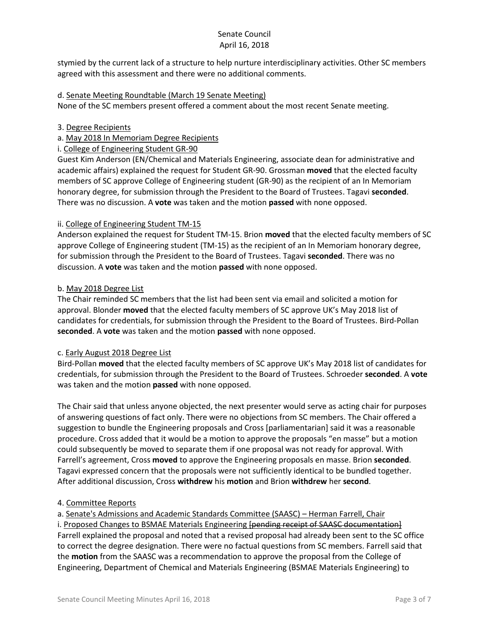stymied by the current lack of a structure to help nurture interdisciplinary activities. Other SC members agreed with this assessment and there were no additional comments.

## d. Senate Meeting Roundtable (March 19 Senate Meeting)

None of the SC members present offered a comment about the most recent Senate meeting.

#### 3. Degree Recipients

## a. May 2018 In Memoriam Degree Recipients

i. College of Engineering Student GR-90

Guest Kim Anderson (EN/Chemical and Materials Engineering, associate dean for administrative and academic affairs) explained the request for Student GR-90. Grossman **moved** that the elected faculty members of SC approve College of Engineering student (GR-90) as the recipient of an In Memoriam honorary degree, for submission through the President to the Board of Trustees. Tagavi **seconded**. There was no discussion. A **vote** was taken and the motion **passed** with none opposed.

## ii. College of Engineering Student TM-15

Anderson explained the request for Student TM-15. Brion **moved** that the elected faculty members of SC approve College of Engineering student (TM-15) as the recipient of an In Memoriam honorary degree, for submission through the President to the Board of Trustees. Tagavi **seconded**. There was no discussion. A **vote** was taken and the motion **passed** with none opposed.

#### b. May 2018 Degree List

The Chair reminded SC members that the list had been sent via email and solicited a motion for approval. Blonder **moved** that the elected faculty members of SC approve UK's May 2018 list of candidates for credentials, for submission through the President to the Board of Trustees. Bird-Pollan **seconded**. A **vote** was taken and the motion **passed** with none opposed.

#### c. Early August 2018 Degree List

Bird-Pollan **moved** that the elected faculty members of SC approve UK's May 2018 list of candidates for credentials, for submission through the President to the Board of Trustees. Schroeder **seconded**. A **vote** was taken and the motion **passed** with none opposed.

The Chair said that unless anyone objected, the next presenter would serve as acting chair for purposes of answering questions of fact only. There were no objections from SC members. The Chair offered a suggestion to bundle the Engineering proposals and Cross [parliamentarian] said it was a reasonable procedure. Cross added that it would be a motion to approve the proposals "en masse" but a motion could subsequently be moved to separate them if one proposal was not ready for approval. With Farrell's agreement, Cross **moved** to approve the Engineering proposals en masse. Brion **seconded**. Tagavi expressed concern that the proposals were not sufficiently identical to be bundled together. After additional discussion, Cross **withdrew** his **motion** and Brion **withdrew** her **second**.

# 4. Committee Reports

a. Senate's Admissions and Academic Standards Committee (SAASC) – Herman Farrell, Chair i. Proposed Changes to BSMAE Materials Engineering **[pending receipt of SAASC documentation**] Farrell explained the proposal and noted that a revised proposal had already been sent to the SC office to correct the degree designation. There were no factual questions from SC members. Farrell said that the **motion** from the SAASC was a recommendation to approve the proposal from the College of Engineering, Department of Chemical and Materials Engineering (BSMAE Materials Engineering) to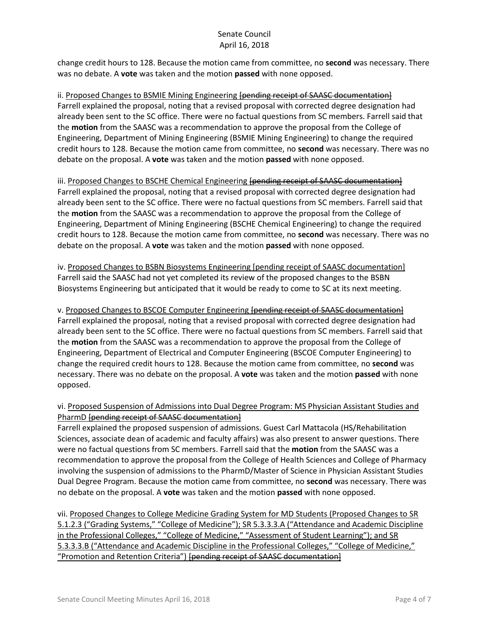change credit hours to 128. Because the motion came from committee, no **second** was necessary. There was no debate. A **vote** was taken and the motion **passed** with none opposed.

ii. Proposed Changes to BSMIE Mining Engineering [pending receipt of SAASC documentation] Farrell explained the proposal, noting that a revised proposal with corrected degree designation had already been sent to the SC office. There were no factual questions from SC members. Farrell said that the **motion** from the SAASC was a recommendation to approve the proposal from the College of Engineering, Department of Mining Engineering (BSMIE Mining Engineering) to change the required credit hours to 128. Because the motion came from committee, no **second** was necessary. There was no debate on the proposal. A **vote** was taken and the motion **passed** with none opposed.

# iii. Proposed Changes to BSCHE Chemical Engineering [pending receipt of SAASC documentation]

Farrell explained the proposal, noting that a revised proposal with corrected degree designation had already been sent to the SC office. There were no factual questions from SC members. Farrell said that the **motion** from the SAASC was a recommendation to approve the proposal from the College of Engineering, Department of Mining Engineering (BSCHE Chemical Engineering) to change the required credit hours to 128. Because the motion came from committee, no **second** was necessary. There was no debate on the proposal. A **vote** was taken and the motion **passed** with none opposed.

iv. Proposed Changes to BSBN Biosystems Engineering [pending receipt of SAASC documentation] Farrell said the SAASC had not yet completed its review of the proposed changes to the BSBN Biosystems Engineering but anticipated that it would be ready to come to SC at its next meeting.

v. Proposed Changes to BSCOE Computer Engineering [pending receipt of SAASC documentation] Farrell explained the proposal, noting that a revised proposal with corrected degree designation had already been sent to the SC office. There were no factual questions from SC members. Farrell said that the **motion** from the SAASC was a recommendation to approve the proposal from the College of Engineering, Department of Electrical and Computer Engineering (BSCOE Computer Engineering) to change the required credit hours to 128. Because the motion came from committee, no **second** was necessary. There was no debate on the proposal. A **vote** was taken and the motion **passed** with none opposed.

# vi. Proposed Suspension of Admissions into Dual Degree Program: MS Physician Assistant Studies and PharmD [pending receipt of SAASC documentation]

Farrell explained the proposed suspension of admissions. Guest Carl Mattacola (HS/Rehabilitation Sciences, associate dean of academic and faculty affairs) was also present to answer questions. There were no factual questions from SC members. Farrell said that the **motion** from the SAASC was a recommendation to approve the proposal from the College of Health Sciences and College of Pharmacy involving the suspension of admissions to the PharmD/Master of Science in Physician Assistant Studies Dual Degree Program. Because the motion came from committee, no **second** was necessary. There was no debate on the proposal. A **vote** was taken and the motion **passed** with none opposed.

vii. Proposed Changes to College Medicine Grading System for MD Students (Proposed Changes to SR 5.1.2.3 ("Grading Systems," "College of Medicine"); SR 5.3.3.3.A ("Attendance and Academic Discipline in the Professional Colleges," "College of Medicine," "Assessment of Student Learning"); and SR 5.3.3.3.B ("Attendance and Academic Discipline in the Professional Colleges," "College of Medicine," "Promotion and Retention Criteria") [pending receipt of SAASC documentation]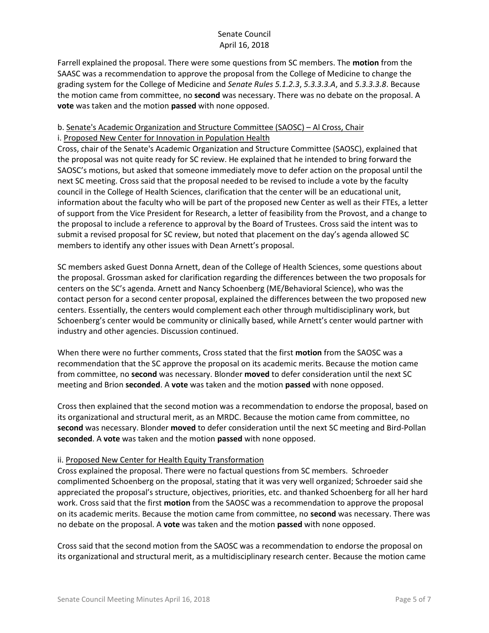Farrell explained the proposal. There were some questions from SC members. The **motion** from the SAASC was a recommendation to approve the proposal from the College of Medicine to change the grading system for the College of Medicine and *Senate Rules 5.1.2.3*, *5.3.3.3.A*, and *5.3.3.3.8*. Because the motion came from committee, no **second** was necessary. There was no debate on the proposal. A **vote** was taken and the motion **passed** with none opposed.

#### b. Senate's Academic Organization and Structure Committee (SAOSC) – Al Cross, Chair i. Proposed New Center for Innovation in Population Health

Cross, chair of the Senate's Academic Organization and Structure Committee (SAOSC), explained that the proposal was not quite ready for SC review. He explained that he intended to bring forward the SAOSC's motions, but asked that someone immediately move to defer action on the proposal until the next SC meeting. Cross said that the proposal needed to be revised to include a vote by the faculty council in the College of Health Sciences, clarification that the center will be an educational unit, information about the faculty who will be part of the proposed new Center as well as their FTEs, a letter of support from the Vice President for Research, a letter of feasibility from the Provost, and a change to the proposal to include a reference to approval by the Board of Trustees. Cross said the intent was to submit a revised proposal for SC review, but noted that placement on the day's agenda allowed SC members to identify any other issues with Dean Arnett's proposal.

SC members asked Guest Donna Arnett, dean of the College of Health Sciences, some questions about the proposal. Grossman asked for clarification regarding the differences between the two proposals for centers on the SC's agenda. Arnett and Nancy Schoenberg (ME/Behavioral Science), who was the contact person for a second center proposal, explained the differences between the two proposed new centers. Essentially, the centers would complement each other through multidisciplinary work, but Schoenberg's center would be community or clinically based, while Arnett's center would partner with industry and other agencies. Discussion continued.

When there were no further comments, Cross stated that the first **motion** from the SAOSC was a recommendation that the SC approve the proposal on its academic merits. Because the motion came from committee, no **second** was necessary. Blonder **moved** to defer consideration until the next SC meeting and Brion **seconded**. A **vote** was taken and the motion **passed** with none opposed.

Cross then explained that the second motion was a recommendation to endorse the proposal, based on its organizational and structural merit, as an MRDC. Because the motion came from committee, no **second** was necessary. Blonder **moved** to defer consideration until the next SC meeting and Bird-Pollan **seconded**. A **vote** was taken and the motion **passed** with none opposed.

# ii. Proposed New Center for Health Equity Transformation

Cross explained the proposal. There were no factual questions from SC members. Schroeder complimented Schoenberg on the proposal, stating that it was very well organized; Schroeder said she appreciated the proposal's structure, objectives, priorities, etc. and thanked Schoenberg for all her hard work. Cross said that the first **motion** from the SAOSC was a recommendation to approve the proposal on its academic merits. Because the motion came from committee, no **second** was necessary. There was no debate on the proposal. A **vote** was taken and the motion **passed** with none opposed.

Cross said that the second motion from the SAOSC was a recommendation to endorse the proposal on its organizational and structural merit, as a multidisciplinary research center. Because the motion came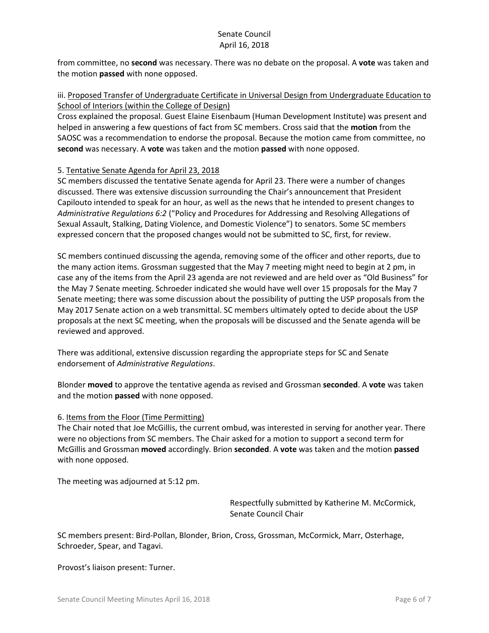from committee, no **second** was necessary. There was no debate on the proposal. A **vote** was taken and the motion **passed** with none opposed.

## iii. Proposed Transfer of Undergraduate Certificate in Universal Design from Undergraduate Education to School of Interiors (within the College of Design)

Cross explained the proposal. Guest Elaine Eisenbaum (Human Development Institute) was present and helped in answering a few questions of fact from SC members. Cross said that the **motion** from the SAOSC was a recommendation to endorse the proposal. Because the motion came from committee, no **second** was necessary. A **vote** was taken and the motion **passed** with none opposed.

## 5. Tentative Senate Agenda for April 23, 2018

SC members discussed the tentative Senate agenda for April 23. There were a number of changes discussed. There was extensive discussion surrounding the Chair's announcement that President Capilouto intended to speak for an hour, as well as the news that he intended to present changes to *Administrative Regulations 6:2* ("Policy and Procedures for Addressing and Resolving Allegations of Sexual Assault, Stalking, Dating Violence, and Domestic Violence") to senators. Some SC members expressed concern that the proposed changes would not be submitted to SC, first, for review.

SC members continued discussing the agenda, removing some of the officer and other reports, due to the many action items. Grossman suggested that the May 7 meeting might need to begin at 2 pm, in case any of the items from the April 23 agenda are not reviewed and are held over as "Old Business" for the May 7 Senate meeting. Schroeder indicated she would have well over 15 proposals for the May 7 Senate meeting; there was some discussion about the possibility of putting the USP proposals from the May 2017 Senate action on a web transmittal. SC members ultimately opted to decide about the USP proposals at the next SC meeting, when the proposals will be discussed and the Senate agenda will be reviewed and approved.

There was additional, extensive discussion regarding the appropriate steps for SC and Senate endorsement of *Administrative Regulations*.

Blonder **moved** to approve the tentative agenda as revised and Grossman **seconded**. A **vote** was taken and the motion **passed** with none opposed.

#### 6. Items from the Floor (Time Permitting)

The Chair noted that Joe McGillis, the current ombud, was interested in serving for another year. There were no objections from SC members. The Chair asked for a motion to support a second term for McGillis and Grossman **moved** accordingly. Brion **seconded**. A **vote** was taken and the motion **passed** with none opposed.

The meeting was adjourned at 5:12 pm.

Respectfully submitted by Katherine M. McCormick, Senate Council Chair

SC members present: Bird-Pollan, Blonder, Brion, Cross, Grossman, McCormick, Marr, Osterhage, Schroeder, Spear, and Tagavi.

Provost's liaison present: Turner.